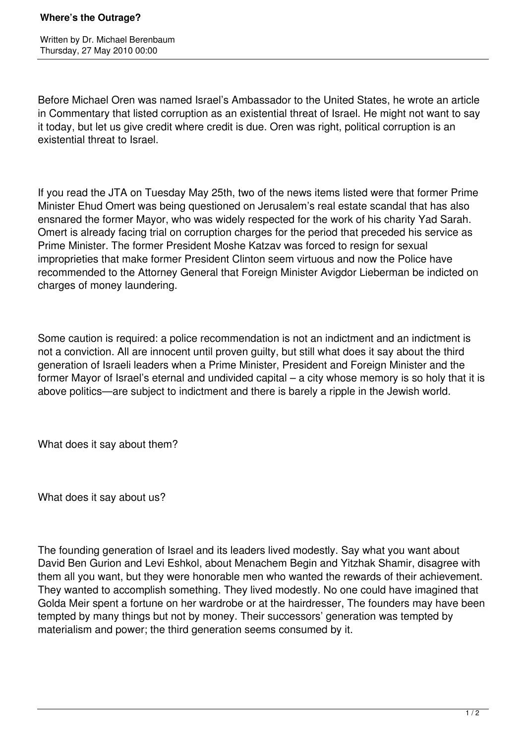## **Where's the Outrage?**

Written by Dr. Michael Berenbaum Thursday, 27 May 2010 00:00

Before Michael Oren was named Israel's Ambassador to the United States, he wrote an article in Commentary that listed corruption as an existential threat of Israel. He might not want to say it today, but let us give credit where credit is due. Oren was right, political corruption is an existential threat to Israel.

If you read the JTA on Tuesday May 25th, two of the news items listed were that former Prime Minister Ehud Omert was being questioned on Jerusalem's real estate scandal that has also ensnared the former Mayor, who was widely respected for the work of his charity Yad Sarah. Omert is already facing trial on corruption charges for the period that preceded his service as Prime Minister. The former President Moshe Katzav was forced to resign for sexual improprieties that make former President Clinton seem virtuous and now the Police have recommended to the Attorney General that Foreign Minister Avigdor Lieberman be indicted on charges of money laundering.

Some caution is required: a police recommendation is not an indictment and an indictment is not a conviction. All are innocent until proven guilty, but still what does it say about the third generation of Israeli leaders when a Prime Minister, President and Foreign Minister and the former Mayor of Israel's eternal and undivided capital – a city whose memory is so holy that it is above politics—are subject to indictment and there is barely a ripple in the Jewish world.

What does it say about them?

What does it say about us?

The founding generation of Israel and its leaders lived modestly. Say what you want about David Ben Gurion and Levi Eshkol, about Menachem Begin and Yitzhak Shamir, disagree with them all you want, but they were honorable men who wanted the rewards of their achievement. They wanted to accomplish something. They lived modestly. No one could have imagined that Golda Meir spent a fortune on her wardrobe or at the hairdresser, The founders may have been tempted by many things but not by money. Their successors' generation was tempted by materialism and power; the third generation seems consumed by it.